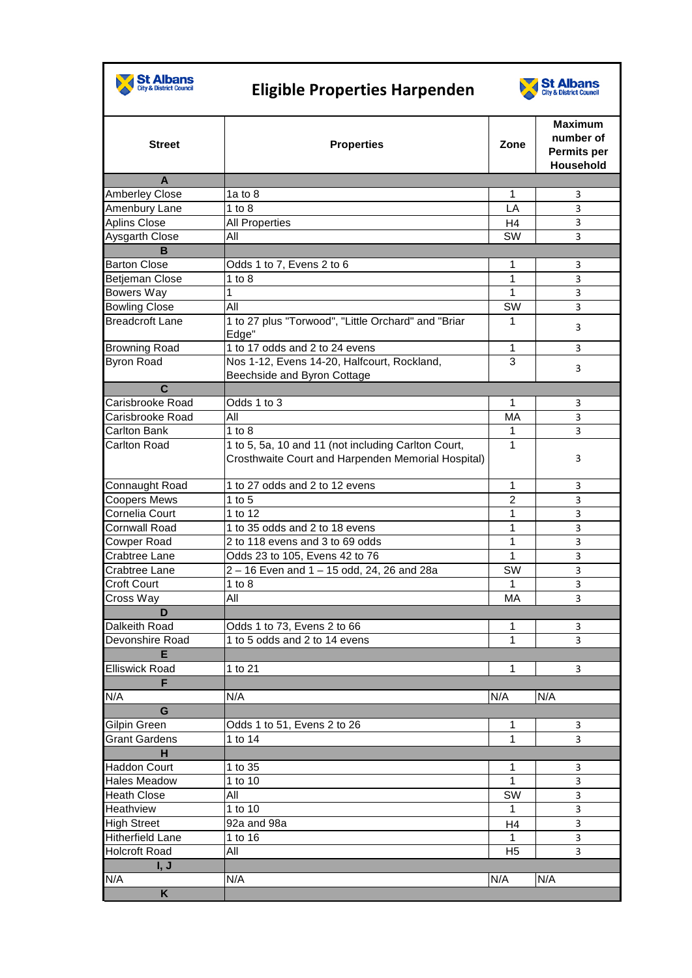

## **Eligible Properties Harpenden**



|                         |                                                                                                           |                | <b>Maximum</b><br>number of |
|-------------------------|-----------------------------------------------------------------------------------------------------------|----------------|-----------------------------|
| <b>Street</b>           | <b>Properties</b>                                                                                         | Zone           | Permits per<br>Household    |
| A                       |                                                                                                           |                |                             |
| <b>Amberley Close</b>   | 1a to $8$                                                                                                 | 1              | 3                           |
| Amenbury Lane           | $1$ to $8$                                                                                                | LA             | 3                           |
| <b>Aplins Close</b>     | <b>All Properties</b>                                                                                     | H4             | 3                           |
| Aysgarth Close          | All                                                                                                       | <b>SW</b>      | 3                           |
| B                       |                                                                                                           |                |                             |
| <b>Barton Close</b>     | Odds 1 to 7, Evens 2 to 6                                                                                 | 1              | 3                           |
| <b>Betjeman Close</b>   | 1 to $8$                                                                                                  | 1              | 3                           |
| <b>Bowers Way</b>       | 1                                                                                                         | 1              | 3                           |
| <b>Bowling Close</b>    | All                                                                                                       | SW             | 3                           |
| <b>Breadcroft Lane</b>  | 1 to 27 plus "Torwood", "Little Orchard" and "Briar                                                       | 1              |                             |
|                         | Edge"                                                                                                     |                | 3                           |
| <b>Browning Road</b>    | 1 to 17 odds and 2 to 24 evens                                                                            | 1              | 3                           |
| <b>Byron Road</b>       | Nos 1-12, Evens 14-20, Halfcourt, Rockland,                                                               | 3              | 3                           |
|                         | Beechside and Byron Cottage                                                                               |                |                             |
| $\mathbf c$             |                                                                                                           |                |                             |
| <b>Carisbrooke Road</b> | Odds 1 to 3                                                                                               | 1              | 3                           |
| Carisbrooke Road        | All                                                                                                       | MA             | 3                           |
| <b>Carlton Bank</b>     | $1$ to $8$                                                                                                | 1              | 3                           |
| <b>Carlton Road</b>     | 1 to 5, 5a, 10 and 11 (not including Carlton Court,<br>Crosthwaite Court and Harpenden Memorial Hospital) | $\mathbf{1}$   | 3                           |
| Connaught Road          | 1 to 27 odds and 2 to 12 evens                                                                            | 1              | 3                           |
| <b>Coopers Mews</b>     | 1 to $5$                                                                                                  | $\overline{2}$ | 3                           |
| Cornelia Court          | 1 to 12                                                                                                   | 1              | 3                           |
| <b>Cornwall Road</b>    | 1 to 35 odds and 2 to 18 evens                                                                            | 1              | 3                           |
| <b>Cowper Road</b>      | 2 to 118 evens and 3 to 69 odds                                                                           | 1              | 3                           |
| <b>Crabtree Lane</b>    | Odds 23 to 105, Evens 42 to 76                                                                            | 1              | 3                           |
| <b>Crabtree Lane</b>    | 2 - 16 Even and 1 - 15 odd, 24, 26 and 28a                                                                | SW             | 3                           |
| <b>Croft Court</b>      | 1 to $8$                                                                                                  | 1              | $\mathsf 3$                 |
| Cross Way               | All                                                                                                       | МA             | 3                           |
| D                       |                                                                                                           |                |                             |
| Dalkeith Road           | Odds 1 to 73, Evens 2 to 66                                                                               | 1              | 3                           |
| Devonshire Road         | 1 to 5 odds and 2 to 14 evens                                                                             | 1              | 3                           |
| Е                       |                                                                                                           |                |                             |
| <b>Elliswick Road</b>   | $\overline{1}$ to 21                                                                                      | 1              | 3                           |
| F                       |                                                                                                           |                |                             |
| N/A                     | N/A                                                                                                       | N/A            | N/A                         |
| G                       |                                                                                                           |                |                             |
| <b>Gilpin Green</b>     | Odds 1 to 51, Evens 2 to 26                                                                               | 1              | 3                           |
| <b>Grant Gardens</b>    | 1 to 14                                                                                                   | 1              | 3                           |
| H                       |                                                                                                           |                |                             |
| <b>Haddon Court</b>     | 1 to 35                                                                                                   | 1              | 3                           |
| <b>Hales Meadow</b>     | 1 to 10                                                                                                   | 1              | 3                           |
| <b>Heath Close</b>      | All                                                                                                       | <b>SW</b>      | 3                           |
| <b>Heathview</b>        | 1 to 10                                                                                                   | 1              | $\mathsf 3$                 |
| <b>High Street</b>      | 92a and 98a                                                                                               | H4             | 3                           |
| <b>Hitherfield Lane</b> | 1 to 16                                                                                                   | 1              | 3                           |
| <b>Holcroft Road</b>    | Αll                                                                                                       | H <sub>5</sub> | 3                           |
| I, J                    |                                                                                                           |                |                             |
| N/A                     | N/A                                                                                                       | N/A            | N/A                         |
| K                       |                                                                                                           |                |                             |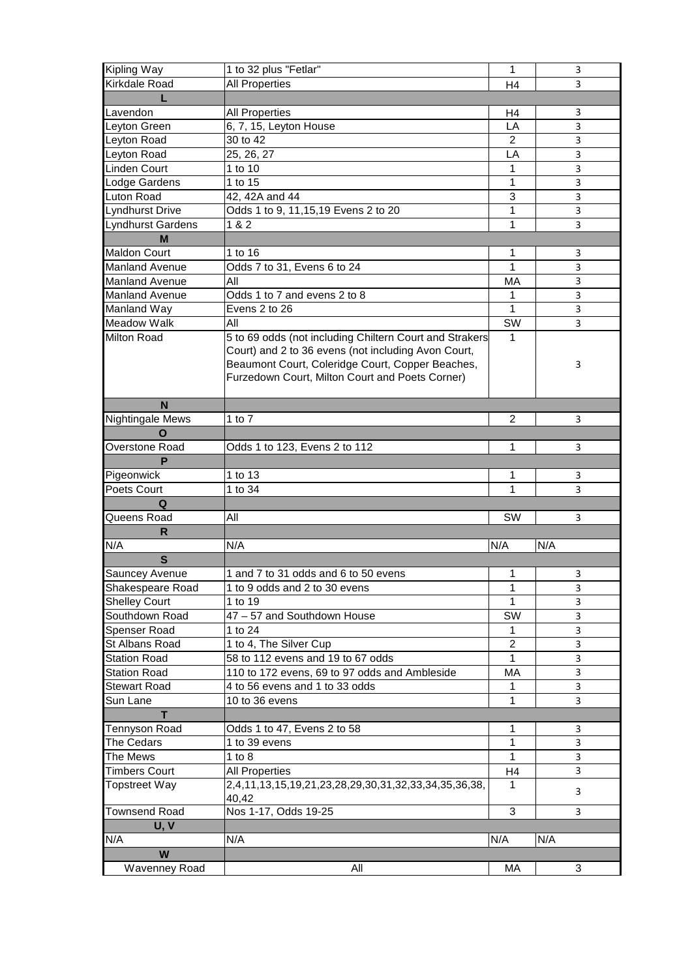| Kipling Way              | 1 to 32 plus "Fetlar"                                   | 1              | 3           |
|--------------------------|---------------------------------------------------------|----------------|-------------|
| Kirkdale Road            | All Properties                                          | H4             | 3           |
|                          |                                                         |                |             |
| Lavendon                 | <b>All Properties</b>                                   | H4             | 3           |
| Leyton Green             | 6, 7, 15, Leyton House                                  | LA             | 3           |
| Leyton Road              | 30 to 42                                                | 2              | 3           |
| Leyton Road              | 25, 26, 27                                              | LA             | 3           |
| Linden Court             | 1 to 10                                                 | 1              | 3           |
| Lodge Gardens            | 1 to 15                                                 | 1              | 3           |
| <b>Luton Road</b>        | 42, 42A and 44                                          | 3              | 3           |
| Lyndhurst Drive          | Odds 1 to 9, 11, 15, 19 Evens 2 to 20                   | 1              | 3           |
| <b>Lyndhurst Gardens</b> | 1 & 2                                                   | 1              | 3           |
| M                        |                                                         |                |             |
| <b>Maldon Court</b>      | 1 to 16                                                 | 1              | 3           |
| <b>Manland Avenue</b>    | Odds 7 to 31, Evens 6 to 24                             | 1              | 3           |
| <b>Manland Avenue</b>    | Αll                                                     | МA             | 3           |
| <b>Manland Avenue</b>    | Odds 1 to 7 and evens 2 to 8                            | 1              | 3           |
| Manland Way              | Evens 2 to 26                                           | $\mathbf{1}$   | 3           |
| <b>Meadow Walk</b>       | All                                                     | SW             | 3           |
| <b>Milton Road</b>       | 5 to 69 odds (not including Chiltern Court and Strakers | $\mathbf{1}$   |             |
|                          | Court) and 2 to 36 evens (not including Avon Court,     |                |             |
|                          | Beaumont Court, Coleridge Court, Copper Beaches,        |                | 3           |
|                          | Furzedown Court, Milton Court and Poets Corner)         |                |             |
|                          |                                                         |                |             |
| N                        |                                                         |                |             |
| Nightingale Mews         | 1 to $7$                                                | $\overline{c}$ | 3           |
| O                        |                                                         |                |             |
| Overstone Road           | Odds 1 to 123, Evens 2 to 112                           | 1              | 3           |
| P                        |                                                         |                |             |
| Pigeonwick               | 1 to 13                                                 | 1              | 3           |
| Poets Court              | 1 to 34                                                 | 1              | 3           |
| Q                        |                                                         |                |             |
| Queens Road              | All                                                     | <b>SW</b>      | 3           |
| R                        |                                                         |                |             |
| N/A                      | N/A                                                     | N/A            | N/A         |
| S                        |                                                         |                |             |
| <b>Sauncey Avenue</b>    | 1 and 7 to 31 odds and 6 to 50 evens                    | 1              | 3           |
| Shakespeare Road         | 1 to 9 odds and 2 to 30 evens                           | 1              | $\mathsf 3$ |
| <b>Shelley Court</b>     | 1 to 19                                                 | $\mathbf{1}$   | 3           |
| Southdown Road           | 47 - 57 and Southdown House                             | SW             | 3           |
| Spenser Road             | 1 to 24                                                 | 1              | 3           |
| St Albans Road           | 1 to 4, The Silver Cup                                  | $\overline{2}$ | 3           |
| <b>Station Road</b>      | 58 to 112 evens and 19 to 67 odds                       | 1              | 3           |
| <b>Station Road</b>      | 110 to 172 evens, 69 to 97 odds and Ambleside           | MA             | 3           |
| <b>Stewart Road</b>      | 4 to 56 evens and 1 to 33 odds                          | 1              | 3           |
| Sun Lane                 | 10 to 36 evens                                          | 1              | 3           |
| T                        |                                                         |                |             |
| Tennyson Road            | Odds 1 to 47, Evens 2 to 58                             | 1              | 3           |
| The Cedars               | 1 to 39 evens                                           | 1              | 3           |
| The Mews                 | 1 to $8$                                                | 1              | 3           |
| <b>Timbers Court</b>     | <b>All Properties</b>                                   | H <sub>4</sub> | 3           |
| <b>Topstreet Way</b>     | 2,4,11,13,15,19,21,23,28,29,30,31,32,33,34,35,36,38,    | 1              | 3           |
|                          | 40,42                                                   |                |             |
| <b>Townsend Road</b>     | Nos 1-17, Odds 19-25                                    | 3              | 3           |
| U, V                     |                                                         |                |             |
| N/A                      | N/A                                                     | N/A            | N/A         |
| W                        |                                                         |                |             |
| Wavenney Road            | All                                                     | МA             | 3           |